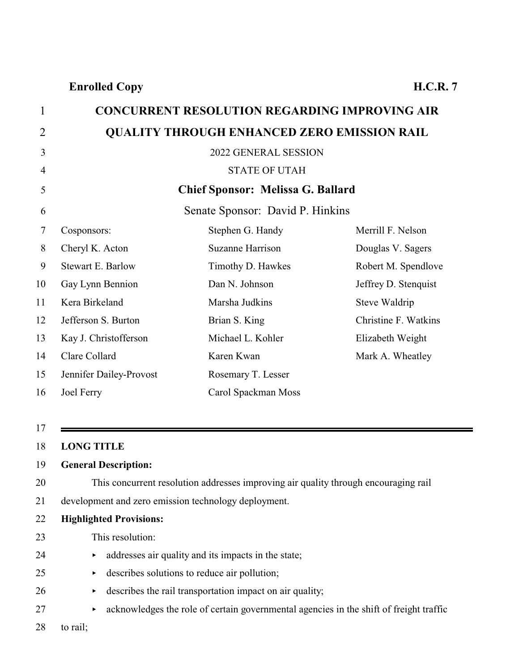**Enrolled Copy H.C.R. 7**

|                |                                                    | <b>CONCURRENT RESOLUTION REGARDING IMPROVING AIR</b>                                |                      |  |
|----------------|----------------------------------------------------|-------------------------------------------------------------------------------------|----------------------|--|
| $\overline{2}$ | <b>QUALITY THROUGH ENHANCED ZERO EMISSION RAIL</b> |                                                                                     |                      |  |
|                |                                                    | 2022 GENERAL SESSION                                                                |                      |  |
|                |                                                    | <b>STATE OF UTAH</b>                                                                |                      |  |
|                | <b>Chief Sponsor: Melissa G. Ballard</b>           |                                                                                     |                      |  |
| 6              | Senate Sponsor: David P. Hinkins                   |                                                                                     |                      |  |
|                | Cosponsors:                                        | Stephen G. Handy                                                                    | Merrill F. Nelson    |  |
|                | Cheryl K. Acton                                    | <b>Suzanne Harrison</b>                                                             | Douglas V. Sagers    |  |
|                | <b>Stewart E. Barlow</b>                           | Timothy D. Hawkes                                                                   | Robert M. Spendlove  |  |
| 10             | Gay Lynn Bennion                                   | Dan N. Johnson                                                                      | Jeffrey D. Stenquist |  |
|                | Kera Birkeland                                     | Marsha Judkins                                                                      | Steve Waldrip        |  |
|                | Jefferson S. Burton                                | Brian S. King                                                                       | Christine F. Watkins |  |
|                | Kay J. Christofferson                              | Michael L. Kohler                                                                   | Elizabeth Weight     |  |
|                | Clare Collard                                      | Karen Kwan                                                                          | Mark A. Wheatley     |  |
|                | Jennifer Dailey-Provost                            | Rosemary T. Lesser                                                                  |                      |  |
|                | Joel Ferry                                         | Carol Spackman Moss                                                                 |                      |  |
|                |                                                    |                                                                                     |                      |  |
|                |                                                    |                                                                                     |                      |  |
| 18             | <b>LONG TITLE</b>                                  |                                                                                     |                      |  |
|                | <b>General Description:</b>                        |                                                                                     |                      |  |
|                |                                                    | This concurrent resolution addresses improving air quality through encouraging rail |                      |  |

- 21 development and zero emission technology deployment.
- 22 **Highlighted Provisions:**
- 23 This resolution:
- $24$   $\rightarrow$  addresses air quality and its impacts in the state;
- 25 < describes solutions to reduce air pollution;
- $26$   $\rightarrow$  describes the rail transportation impact on air quality;
- 27 extra extra acknowledges the role of certain governmental agencies in the shift of freight traffic
- 28 to rail;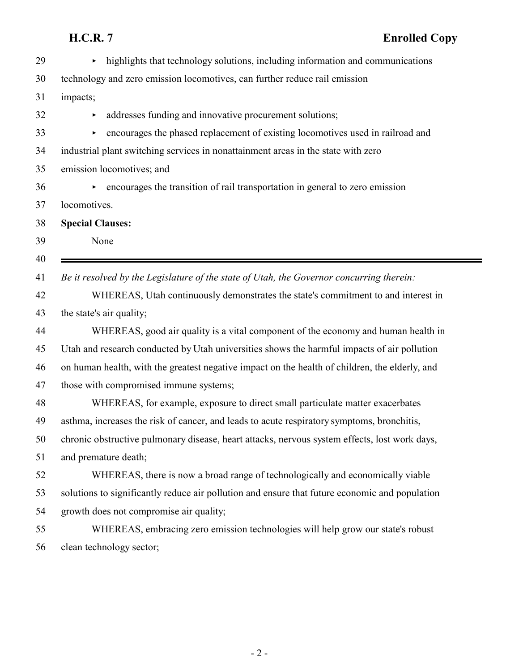| 29 | highlights that technology solutions, including information and communications<br>$\blacktriangleright$ |  |  |
|----|---------------------------------------------------------------------------------------------------------|--|--|
| 30 | technology and zero emission locomotives, can further reduce rail emission                              |  |  |
| 31 | impacts;                                                                                                |  |  |
| 32 | addresses funding and innovative procurement solutions;<br>▶                                            |  |  |
| 33 | encourages the phased replacement of existing locomotives used in railroad and                          |  |  |
| 34 | industrial plant switching services in nonattainment areas in the state with zero                       |  |  |
| 35 | emission locomotives; and                                                                               |  |  |
| 36 | encourages the transition of rail transportation in general to zero emission<br>Þ.                      |  |  |
| 37 | locomotives.                                                                                            |  |  |
| 38 | <b>Special Clauses:</b>                                                                                 |  |  |
| 39 | None                                                                                                    |  |  |
| 40 |                                                                                                         |  |  |
| 41 | Be it resolved by the Legislature of the state of Utah, the Governor concurring therein:                |  |  |
| 42 | WHEREAS, Utah continuously demonstrates the state's commitment to and interest in                       |  |  |
| 43 | the state's air quality;                                                                                |  |  |
| 44 | WHEREAS, good air quality is a vital component of the economy and human health in                       |  |  |
| 45 | Utah and research conducted by Utah universities shows the harmful impacts of air pollution             |  |  |
| 46 | on human health, with the greatest negative impact on the health of children, the elderly, and          |  |  |
| 47 | those with compromised immune systems;                                                                  |  |  |
| 48 | WHEREAS, for example, exposure to direct small particulate matter exacerbates                           |  |  |
| 49 | asthma, increases the risk of cancer, and leads to acute respiratory symptoms, bronchitis,              |  |  |
| 50 | chronic obstructive pulmonary disease, heart attacks, nervous system effects, lost work days,           |  |  |
| 51 | and premature death;                                                                                    |  |  |
| 52 | WHEREAS, there is now a broad range of technologically and economically viable                          |  |  |
| 53 | solutions to significantly reduce air pollution and ensure that future economic and population          |  |  |
| 54 | growth does not compromise air quality;                                                                 |  |  |
| 55 | WHEREAS, embracing zero emission technologies will help grow our state's robust                         |  |  |
| 56 | clean technology sector;                                                                                |  |  |
|    |                                                                                                         |  |  |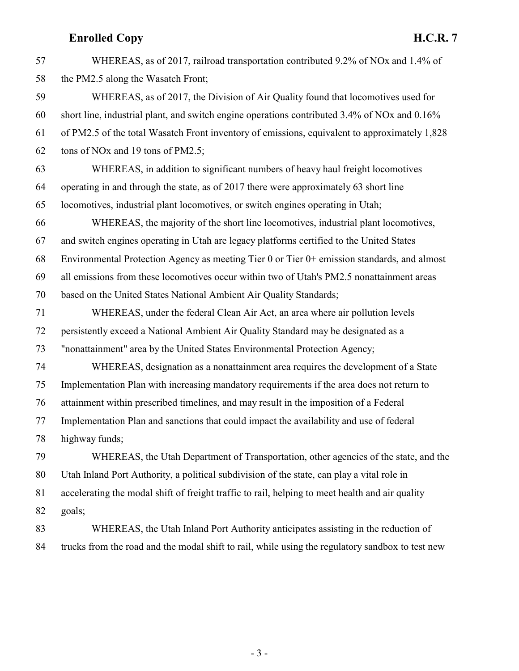## **Enrolled Copy H.C.R. 7**

| 57 | WHEREAS, as of 2017, railroad transportation contributed 9.2% of NOx and 1.4% of                 |
|----|--------------------------------------------------------------------------------------------------|
| 58 | the PM2.5 along the Wasatch Front;                                                               |
| 59 | WHEREAS, as of 2017, the Division of Air Quality found that locomotives used for                 |
| 60 | short line, industrial plant, and switch engine operations contributed 3.4% of NOx and 0.16%     |
| 61 | of PM2.5 of the total Wasatch Front inventory of emissions, equivalent to approximately 1,828    |
| 62 | tons of NO <sub>x</sub> and 19 tons of PM2.5;                                                    |
| 63 | WHEREAS, in addition to significant numbers of heavy haul freight locomotives                    |
| 64 | operating in and through the state, as of 2017 there were approximately 63 short line            |
| 65 | locomotives, industrial plant locomotives, or switch engines operating in Utah;                  |
| 66 | WHEREAS, the majority of the short line locomotives, industrial plant locomotives,               |
| 67 | and switch engines operating in Utah are legacy platforms certified to the United States         |
| 68 | Environmental Protection Agency as meeting Tier $0$ or Tier $0+$ emission standards, and almost  |
| 69 | all emissions from these locomotives occur within two of Utah's PM2.5 nonattainment areas        |
| 70 | based on the United States National Ambient Air Quality Standards;                               |
| 71 | WHEREAS, under the federal Clean Air Act, an area where air pollution levels                     |
| 72 | persistently exceed a National Ambient Air Quality Standard may be designated as a               |
| 73 | "nonattainment" area by the United States Environmental Protection Agency;                       |
| 74 | WHEREAS, designation as a nonattainment area requires the development of a State                 |
| 75 | Implementation Plan with increasing mandatory requirements if the area does not return to        |
| 76 | attainment within prescribed timelines, and may result in the imposition of a Federal            |
| 77 | Implementation Plan and sanctions that could impact the availability and use of federal          |
| 78 | highway funds;                                                                                   |
| 79 | WHEREAS, the Utah Department of Transportation, other agencies of the state, and the             |
| 80 | Utah Inland Port Authority, a political subdivision of the state, can play a vital role in       |
| 81 | accelerating the modal shift of freight traffic to rail, helping to meet health and air quality  |
| 82 | goals;                                                                                           |
| 83 | WHEREAS, the Utah Inland Port Authority anticipates assisting in the reduction of                |
| 84 | trucks from the road and the modal shift to rail, while using the regulatory sandbox to test new |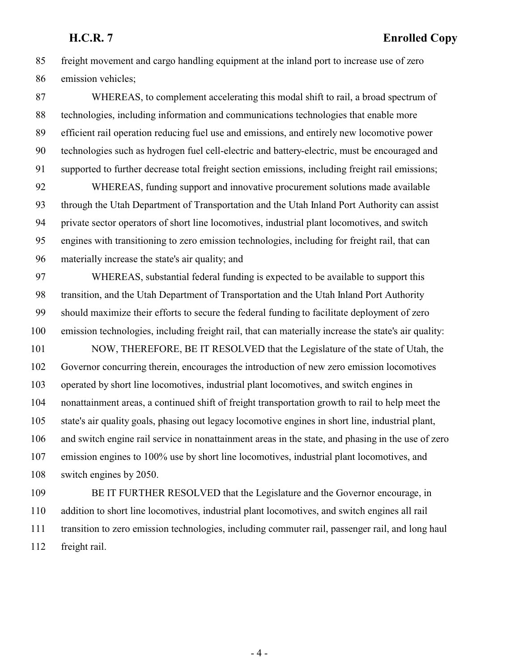freight movement and cargo handling equipment at the inland port to increase use of zero emission vehicles;

 WHEREAS, to complement accelerating this modal shift to rail, a broad spectrum of technologies, including information and communications technologies that enable more efficient rail operation reducing fuel use and emissions, and entirely new locomotive power technologies such as hydrogen fuel cell-electric and battery-electric, must be encouraged and supported to further decrease total freight section emissions, including freight rail emissions;

 WHEREAS, funding support and innovative procurement solutions made available through the Utah Department of Transportation and the Utah Inland Port Authority can assist private sector operators of short line locomotives, industrial plant locomotives, and switch engines with transitioning to zero emission technologies, including for freight rail, that can materially increase the state's air quality; and

 WHEREAS, substantial federal funding is expected to be available to support this transition, and the Utah Department of Transportation and the Utah Inland Port Authority should maximize their efforts to secure the federal funding to facilitate deployment of zero emission technologies, including freight rail, that can materially increase the state's air quality: NOW, THEREFORE, BE IT RESOLVED that the Legislature of the state of Utah, the Governor concurring therein, encourages the introduction of new zero emission locomotives operated by short line locomotives, industrial plant locomotives, and switch engines in nonattainment areas, a continued shift of freight transportation growth to rail to help meet the state's air quality goals, phasing out legacy locomotive engines in short line, industrial plant, and switch engine rail service in nonattainment areas in the state, and phasing in the use of zero emission engines to 100% use by short line locomotives, industrial plant locomotives, and switch engines by 2050.

 BE IT FURTHER RESOLVED that the Legislature and the Governor encourage, in addition to short line locomotives, industrial plant locomotives, and switch engines all rail transition to zero emission technologies, including commuter rail, passenger rail, and long haul freight rail.

- 4 -